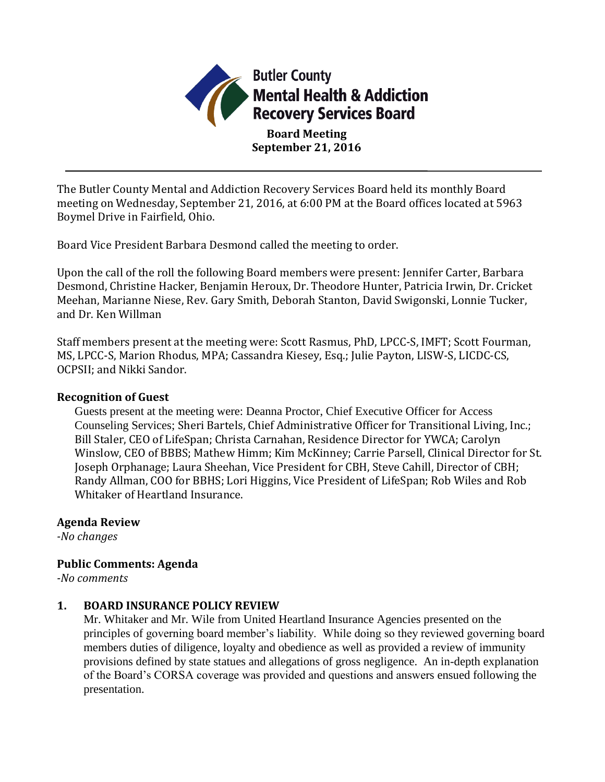

The Butler County Mental and Addiction Recovery Services Board held its monthly Board meeting on Wednesday, September 21, 2016, at 6:00 PM at the Board offices located at 5963 Boymel Drive in Fairfield, Ohio.

Board Vice President Barbara Desmond called the meeting to order.

Upon the call of the roll the following Board members were present: Jennifer Carter, Barbara Desmond, Christine Hacker, Benjamin Heroux, Dr. Theodore Hunter, Patricia Irwin, Dr. Cricket Meehan, Marianne Niese, Rev. Gary Smith, Deborah Stanton, David Swigonski, Lonnie Tucker, and Dr. Ken Willman

Staff members present at the meeting were: Scott Rasmus, PhD, LPCC-S, IMFT; Scott Fourman, MS, LPCC-S, Marion Rhodus, MPA; Cassandra Kiesey, Esq.; Julie Payton, LISW-S, LICDC-CS, OCPSII; and Nikki Sandor.

## **Recognition of Guest**

Guests present at the meeting were: Deanna Proctor, Chief Executive Officer for Access Counseling Services; Sheri Bartels, Chief Administrative Officer for Transitional Living, Inc.; Bill Staler, CEO of LifeSpan; Christa Carnahan, Residence Director for YWCA; Carolyn Winslow, CEO of BBBS; Mathew Himm; Kim McKinney; Carrie Parsell, Clinical Director for St. Joseph Orphanage; Laura Sheehan, Vice President for CBH, Steve Cahill, Director of CBH; Randy Allman, COO for BBHS; Lori Higgins, Vice President of LifeSpan; Rob Wiles and Rob Whitaker of Heartland Insurance.

## **Agenda Review**

*-No changes*

# **Public Comments: Agenda**

*-No comments*

# **1. BOARD INSURANCE POLICY REVIEW**

Mr. Whitaker and Mr. Wile from United Heartland Insurance Agencies presented on the principles of governing board member's liability. While doing so they reviewed governing board members duties of diligence, loyalty and obedience as well as provided a review of immunity provisions defined by state statues and allegations of gross negligence. An in-depth explanation of the Board's CORSA coverage was provided and questions and answers ensued following the presentation.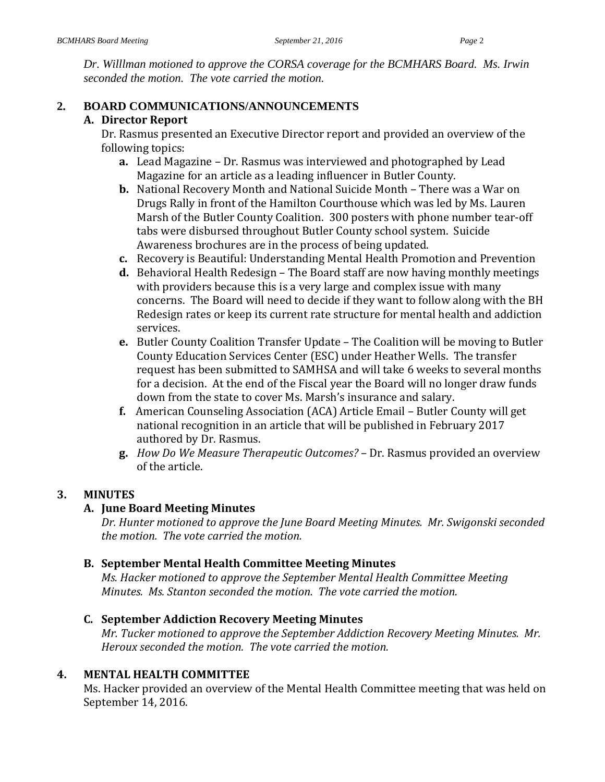*Dr. Willlman motioned to approve the CORSA coverage for the BCMHARS Board. Ms. Irwin seconded the motion. The vote carried the motion.* 

## **2. BOARD COMMUNICATIONS/ANNOUNCEMENTS**

## **A. Director Report**

Dr. Rasmus presented an Executive Director report and provided an overview of the following topics:

- **a.** Lead Magazine Dr. Rasmus was interviewed and photographed by Lead Magazine for an article as a leading influencer in Butler County.
- **b.** National Recovery Month and National Suicide Month There was a War on Drugs Rally in front of the Hamilton Courthouse which was led by Ms. Lauren Marsh of the Butler County Coalition. 300 posters with phone number tear-off tabs were disbursed throughout Butler County school system. Suicide Awareness brochures are in the process of being updated.
- **c.** Recovery is Beautiful: Understanding Mental Health Promotion and Prevention
- **d.** Behavioral Health Redesign The Board staff are now having monthly meetings with providers because this is a very large and complex issue with many concerns. The Board will need to decide if they want to follow along with the BH Redesign rates or keep its current rate structure for mental health and addiction services.
- **e.** Butler County Coalition Transfer Update The Coalition will be moving to Butler County Education Services Center (ESC) under Heather Wells. The transfer request has been submitted to SAMHSA and will take 6 weeks to several months for a decision. At the end of the Fiscal year the Board will no longer draw funds down from the state to cover Ms. Marsh's insurance and salary.
- **f.** American Counseling Association (ACA) Article Email Butler County will get national recognition in an article that will be published in February 2017 authored by Dr. Rasmus.
- **g.** *How Do We Measure Therapeutic Outcomes?* Dr. Rasmus provided an overview of the article.

# **3. MINUTES**

## **A. June Board Meeting Minutes**

*Dr. Hunter motioned to approve the June Board Meeting Minutes. Mr. Swigonski seconded the motion. The vote carried the motion.*

# **B. September Mental Health Committee Meeting Minutes**

*Ms. Hacker motioned to approve the September Mental Health Committee Meeting Minutes. Ms. Stanton seconded the motion. The vote carried the motion.*

## **C. September Addiction Recovery Meeting Minutes**

*Mr. Tucker motioned to approve the September Addiction Recovery Meeting Minutes. Mr. Heroux seconded the motion. The vote carried the motion.*

# **4. MENTAL HEALTH COMMITTEE**

Ms. Hacker provided an overview of the Mental Health Committee meeting that was held on September 14, 2016.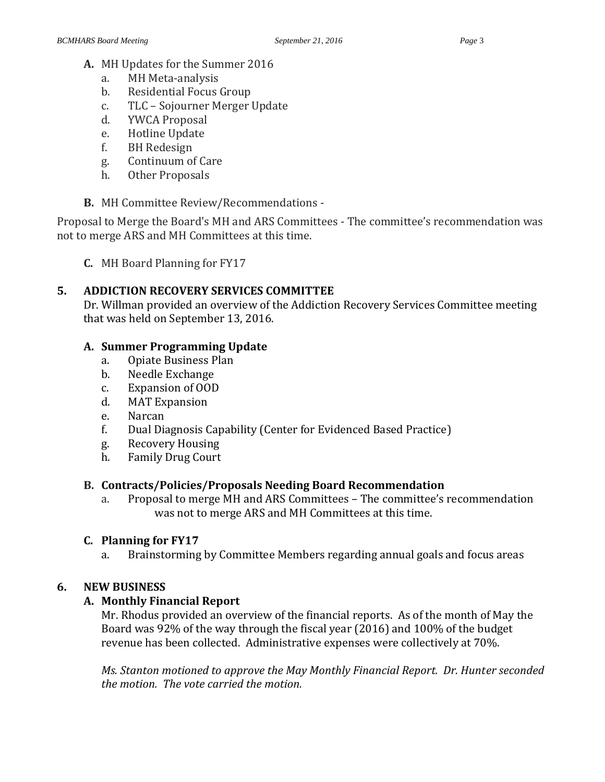- **A.** MH Updates for the Summer 2016
	- a. MH Meta-analysis
	- b. Residential Focus Group
	- c. TLC Sojourner Merger Update
	- d. YWCA Proposal
	- e. Hotline Update
	- f. BH Redesign
	- g. Continuum of Care
	- h. Other Proposals
- **B.** MH Committee Review/Recommendations -

Proposal to Merge the Board's MH and ARS Committees - The committee's recommendation was not to merge ARS and MH Committees at this time.

**C.** MH Board Planning for FY17

# **5. ADDICTION RECOVERY SERVICES COMMITTEE**

Dr. Willman provided an overview of the Addiction Recovery Services Committee meeting that was held on September 13, 2016.

# **A. Summer Programming Update**

- a. Opiate Business Plan
- b. Needle Exchange
- c. Expansion of OOD
- d. MAT Expansion
- e. Narcan
- f. Dual Diagnosis Capability (Center for Evidenced Based Practice)
- g. Recovery Housing
- h. Family Drug Court

# **B. Contracts/Policies/Proposals Needing Board Recommendation**

a. Proposal to merge MH and ARS Committees – The committee's recommendation was not to merge ARS and MH Committees at this time.

## **C. Planning for FY17**

a. Brainstorming by Committee Members regarding annual goals and focus areas

# **6. NEW BUSINESS**

# **A. Monthly Financial Report**

Mr. Rhodus provided an overview of the financial reports. As of the month of May the Board was 92% of the way through the fiscal year (2016) and 100% of the budget revenue has been collected. Administrative expenses were collectively at 70%.

*Ms. Stanton motioned to approve the May Monthly Financial Report. Dr. Hunter seconded the motion. The vote carried the motion.*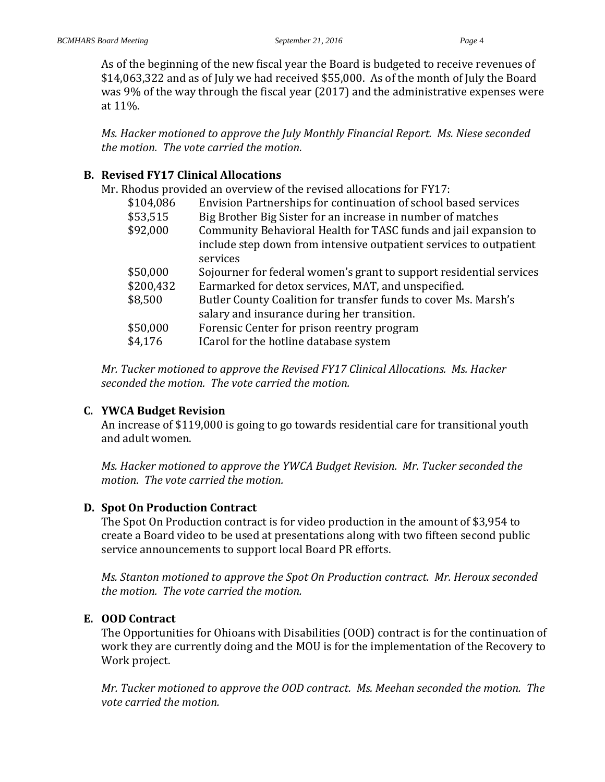As of the beginning of the new fiscal year the Board is budgeted to receive revenues of \$14,063,322 and as of July we had received \$55,000. As of the month of July the Board was 9% of the way through the fiscal year (2017) and the administrative expenses were at 11%.

*Ms. Hacker motioned to approve the July Monthly Financial Report. Ms. Niese seconded the motion. The vote carried the motion.*

## **B. Revised FY17 Clinical Allocations**

Mr. Rhodus provided an overview of the revised allocations for FY17:

| \$104,086 | Envision Partnerships for continuation of school based services                |
|-----------|--------------------------------------------------------------------------------|
| \$53,515  | Big Brother Big Sister for an increase in number of matches                    |
| \$92,000  | Community Behavioral Health for TASC funds and jail expansion to               |
|           | include step down from intensive outpatient services to outpatient<br>services |
| \$50,000  | Sojourner for federal women's grant to support residential services            |
| \$200,432 | Earmarked for detox services, MAT, and unspecified.                            |
| \$8,500   | Butler County Coalition for transfer funds to cover Ms. Marsh's                |
|           | salary and insurance during her transition.                                    |
| \$50,000  | Forensic Center for prison reentry program                                     |
| \$4,176   | ICarol for the hotline database system                                         |
|           |                                                                                |

*Mr. Tucker motioned to approve the Revised FY17 Clinical Allocations. Ms. Hacker seconded the motion. The vote carried the motion.*

## **C. YWCA Budget Revision**

An increase of \$119,000 is going to go towards residential care for transitional youth and adult women.

*Ms. Hacker motioned to approve the YWCA Budget Revision. Mr. Tucker seconded the motion. The vote carried the motion.*

# **D. Spot On Production Contract**

The Spot On Production contract is for video production in the amount of \$3,954 to create a Board video to be used at presentations along with two fifteen second public service announcements to support local Board PR efforts.

*Ms. Stanton motioned to approve the Spot On Production contract. Mr. Heroux seconded the motion. The vote carried the motion.*

# **E. OOD Contract**

The Opportunities for Ohioans with Disabilities (OOD) contract is for the continuation of work they are currently doing and the MOU is for the implementation of the Recovery to Work project.

*Mr. Tucker motioned to approve the OOD contract. Ms. Meehan seconded the motion. The vote carried the motion.*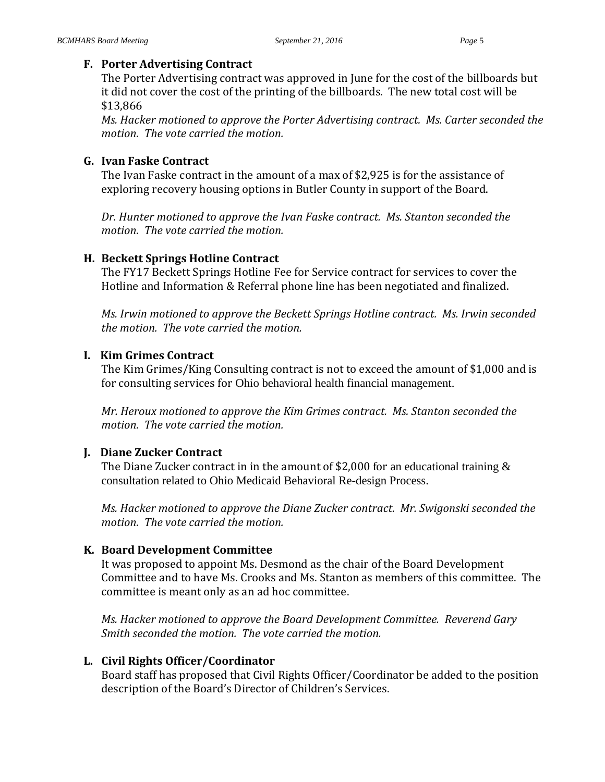## **F. Porter Advertising Contract**

The Porter Advertising contract was approved in June for the cost of the billboards but it did not cover the cost of the printing of the billboards. The new total cost will be \$13,866

*Ms. Hacker motioned to approve the Porter Advertising contract. Ms. Carter seconded the motion. The vote carried the motion.*

## **G. Ivan Faske Contract**

The Ivan Faske contract in the amount of a max of \$2,925 is for the assistance of exploring recovery housing options in Butler County in support of the Board.

*Dr. Hunter motioned to approve the Ivan Faske contract. Ms. Stanton seconded the motion. The vote carried the motion.*

## **H. Beckett Springs Hotline Contract**

The FY17 Beckett Springs Hotline Fee for Service contract for services to cover the Hotline and Information & Referral phone line has been negotiated and finalized.

*Ms. Irwin motioned to approve the Beckett Springs Hotline contract. Ms. Irwin seconded the motion. The vote carried the motion.*

## **I. Kim Grimes Contract**

The Kim Grimes/King Consulting contract is not to exceed the amount of \$1,000 and is for consulting services for Ohio behavioral health financial management.

*Mr. Heroux motioned to approve the Kim Grimes contract. Ms. Stanton seconded the motion. The vote carried the motion.*

# **J. Diane Zucker Contract**

The Diane Zucker contract in in the amount of \$2,000 for an educational training  $\&$ consultation related to Ohio Medicaid Behavioral Re-design Process.

*Ms. Hacker motioned to approve the Diane Zucker contract. Mr. Swigonski seconded the motion. The vote carried the motion.*

# **K. Board Development Committee**

It was proposed to appoint Ms. Desmond as the chair of the Board Development Committee and to have Ms. Crooks and Ms. Stanton as members of this committee. The committee is meant only as an ad hoc committee.

*Ms. Hacker motioned to approve the Board Development Committee. Reverend Gary Smith seconded the motion. The vote carried the motion.*

# **L. Civil Rights Officer/Coordinator**

Board staff has proposed that Civil Rights Officer/Coordinator be added to the position description of the Board's Director of Children's Services.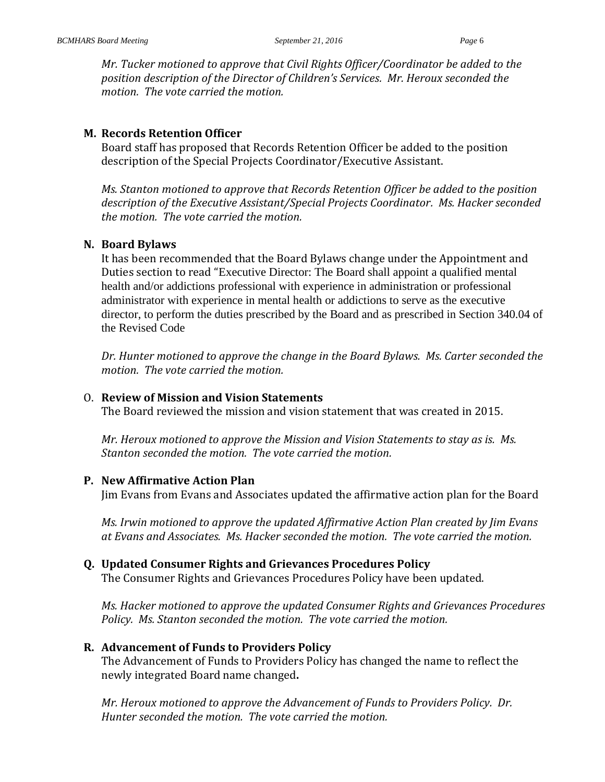*Mr. Tucker motioned to approve that Civil Rights Officer/Coordinator be added to the position description of the Director of Children's Services. Mr. Heroux seconded the motion. The vote carried the motion.*

#### **M. Records Retention Officer**

Board staff has proposed that Records Retention Officer be added to the position description of the Special Projects Coordinator/Executive Assistant.

*Ms. Stanton motioned to approve that Records Retention Officer be added to the position description of the Executive Assistant/Special Projects Coordinator. Ms. Hacker seconded the motion. The vote carried the motion.*

#### **N. Board Bylaws**

It has been recommended that the Board Bylaws change under the Appointment and Duties section to read "Executive Director: The Board shall appoint a qualified mental health and/or addictions professional with experience in administration or professional administrator with experience in mental health or addictions to serve as the executive director, to perform the duties prescribed by the Board and as prescribed in Section 340.04 of the Revised Code

*Dr. Hunter motioned to approve the change in the Board Bylaws. Ms. Carter seconded the motion. The vote carried the motion.*

#### O. **Review of Mission and Vision Statements**

The Board reviewed the mission and vision statement that was created in 2015.

*Mr. Heroux motioned to approve the Mission and Vision Statements to stay as is. Ms. Stanton seconded the motion. The vote carried the motion.*

## **P. New Affirmative Action Plan**

Jim Evans from Evans and Associates updated the affirmative action plan for the Board

*Ms. Irwin motioned to approve the updated Affirmative Action Plan created by Jim Evans at Evans and Associates. Ms. Hacker seconded the motion. The vote carried the motion.*

## **Q. Updated Consumer Rights and Grievances Procedures Policy**

The Consumer Rights and Grievances Procedures Policy have been updated.

*Ms. Hacker motioned to approve the updated Consumer Rights and Grievances Procedures Policy. Ms. Stanton seconded the motion. The vote carried the motion.*

## **R. Advancement of Funds to Providers Policy**

The Advancement of Funds to Providers Policy has changed the name to reflect the newly integrated Board name changed**.**

*Mr. Heroux motioned to approve the Advancement of Funds to Providers Policy. Dr. Hunter seconded the motion. The vote carried the motion.*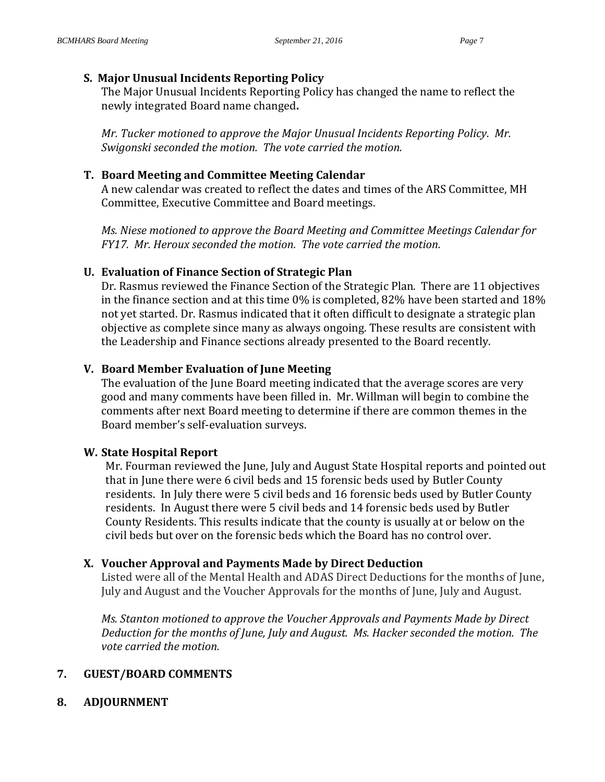# **S. Major Unusual Incidents Reporting Policy**

The Major Unusual Incidents Reporting Policy has changed the name to reflect the newly integrated Board name changed**.**

*Mr. Tucker motioned to approve the Major Unusual Incidents Reporting Policy. Mr. Swigonski seconded the motion. The vote carried the motion.*

# **T. Board Meeting and Committee Meeting Calendar**

A new calendar was created to reflect the dates and times of the ARS Committee, MH Committee, Executive Committee and Board meetings.

*Ms. Niese motioned to approve the Board Meeting and Committee Meetings Calendar for FY17. Mr. Heroux seconded the motion. The vote carried the motion.*

# **U. Evaluation of Finance Section of Strategic Plan**

Dr. Rasmus reviewed the Finance Section of the Strategic Plan. There are 11 objectives in the finance section and at this time 0% is completed, 82% have been started and 18% not yet started. Dr. Rasmus indicated that it often difficult to designate a strategic plan objective as complete since many as always ongoing. These results are consistent with the Leadership and Finance sections already presented to the Board recently.

# **V. Board Member Evaluation of June Meeting**

The evaluation of the June Board meeting indicated that the average scores are very good and many comments have been filled in. Mr. Willman will begin to combine the comments after next Board meeting to determine if there are common themes in the Board member's self-evaluation surveys.

# **W. State Hospital Report**

Mr. Fourman reviewed the June, July and August State Hospital reports and pointed out that in June there were 6 civil beds and 15 forensic beds used by Butler County residents. In July there were 5 civil beds and 16 forensic beds used by Butler County residents. In August there were 5 civil beds and 14 forensic beds used by Butler County Residents. This results indicate that the county is usually at or below on the civil beds but over on the forensic beds which the Board has no control over.

# **X. Voucher Approval and Payments Made by Direct Deduction**

Listed were all of the Mental Health and ADAS Direct Deductions for the months of June, July and August and the Voucher Approvals for the months of June, July and August.

*Ms. Stanton motioned to approve the Voucher Approvals and Payments Made by Direct Deduction for the months of June, July and August. Ms. Hacker seconded the motion. The vote carried the motion.*

# **7. GUEST/BOARD COMMENTS**

**8. ADJOURNMENT**